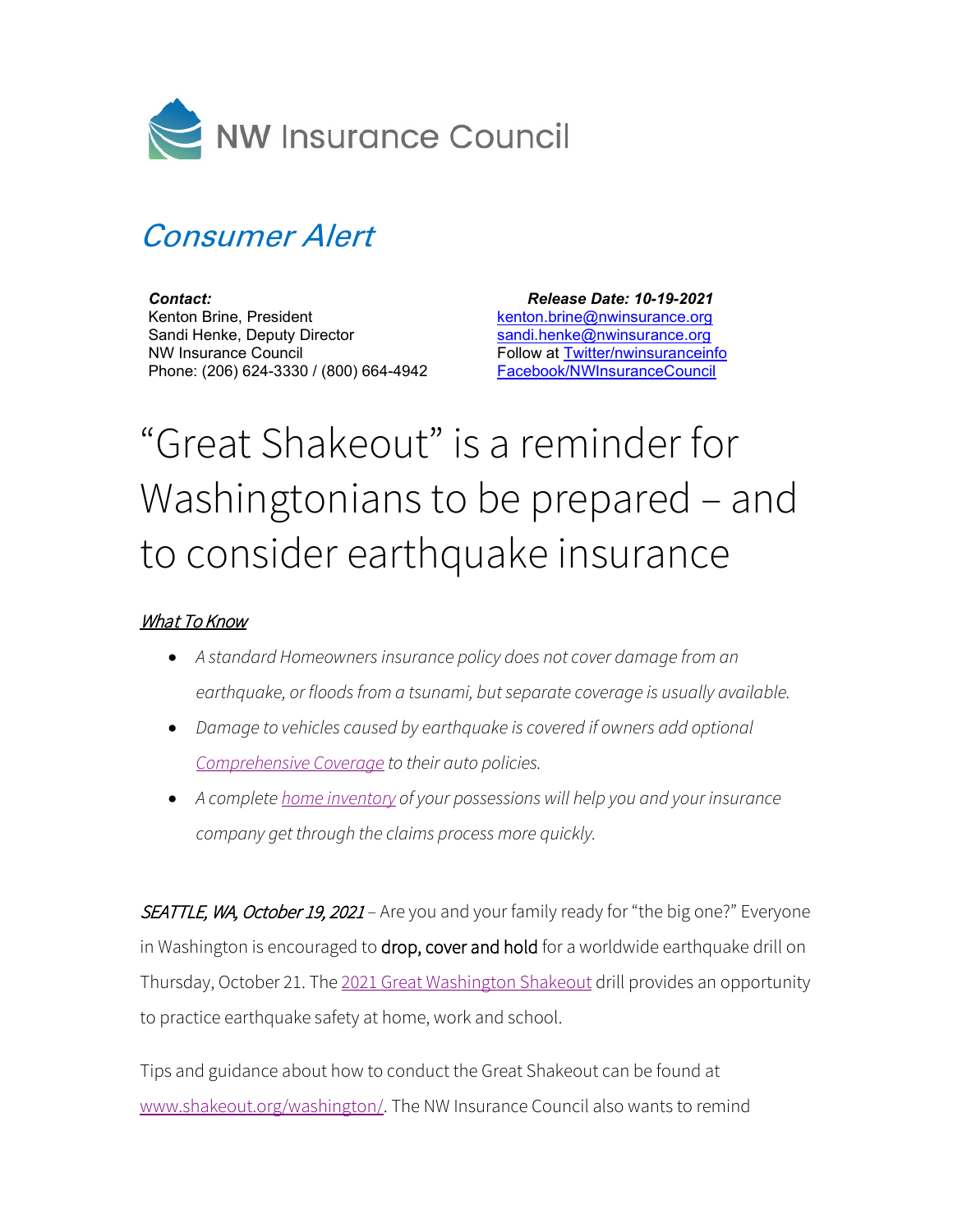

## Consumer Alert

*Contact:* Kenton Brine, President Sandi Henke, Deputy Director NW Insurance Council Phone: (206) 624-3330 / (800) 664-4942

 *Release Date: 10-19-2021* [kenton.brine@nwinsurance.org](mailto:kenton.brine@nwinsurance.org) [sandi.henke@nwinsurance.org](mailto:sandi.henke@nwinsurance.org) Follow at [Twitter/nwinsuranceinfo](http://twitter.com/#!/nwinsuranceinfo) [Facebook/NWInsuranceCouncil](https://www.facebook.com/NWInsuranceCouncil)

## "Great Shakeout" is a reminder for Washingtonians to be prepared – and to consider earthquake insurance

## What To Know

- *A standard Homeowners insurance policy does not cover damage from an earthquake, or floods from a tsunami, but separate coverage is usually available.*
- *Damage to vehicles caused by earthquake is covered if owners add optional [Comprehensive Coverage](https://www.nwinsurance.org/auto-insurance-basics) to their auto policies.*
- *A complete [home inventory](https://www.nwinsurance.org/building-a-home-inventory) of your possessions will help you and your insurance company get through the claims process more quickly.*

SEATTLE, WA, October 19, 2021 – Are you and your family ready for "the big one?" Everyone in Washington is encouraged to drop, cover and hold for a worldwide earthquake drill on Thursday, October 21. The 2021 [Great Washington](https://www.shakeout.org/washington/) Shakeout drill provides an opportunity to practice earthquake safety at home, work and school.

Tips and guidance about how to conduct the Great Shakeout can be found at [www.shakeout.org/washington/.](http://www.shakeout.org/washington/) The NW Insurance Council also wants to remind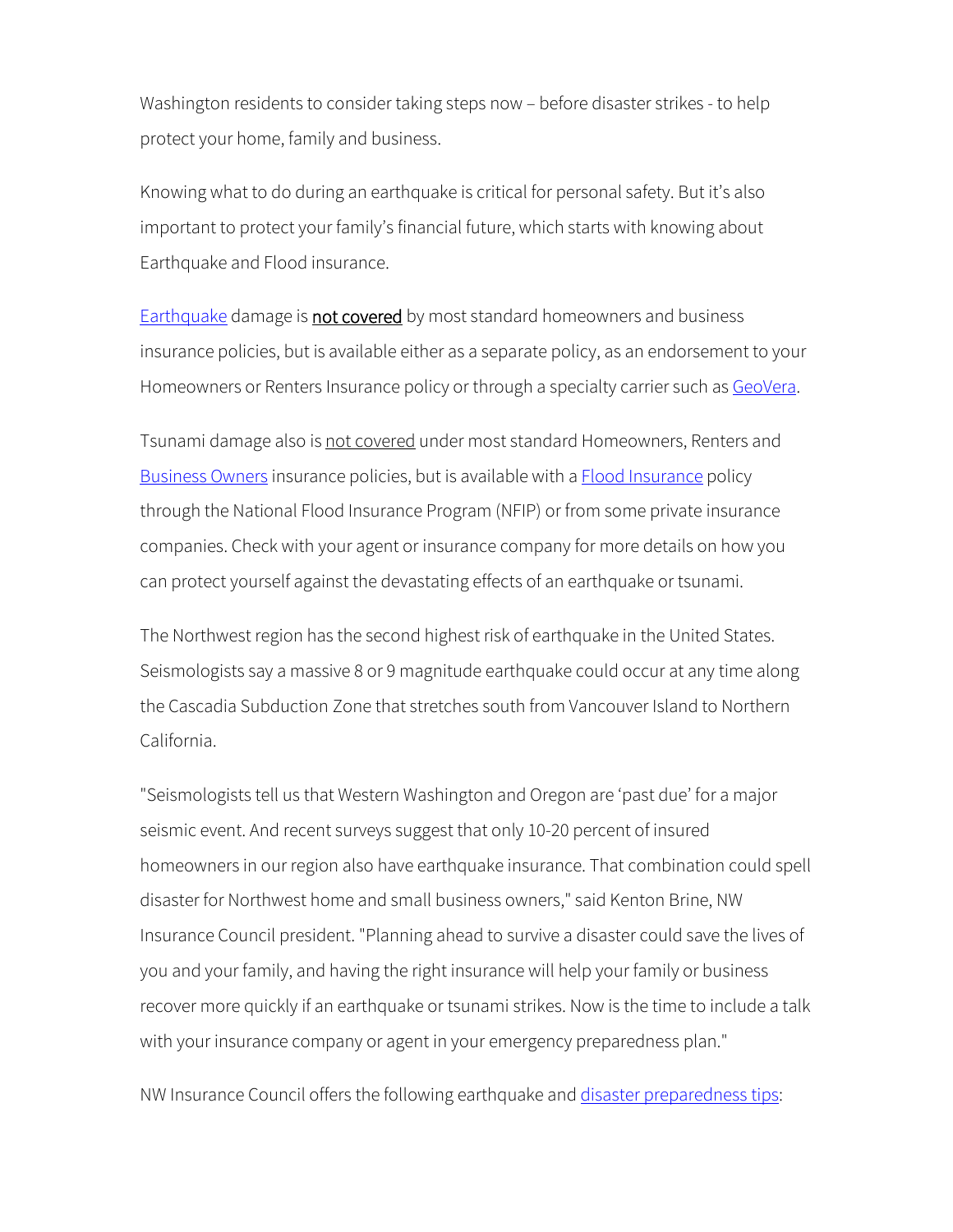Washington residents to consider taking steps now – before disaster strikes - to help protect your home, family and business.

Knowing what to do during an earthquake is critical for personal safety. But it's also important to protect your family's financial future, which starts with knowing about Earthquake and Flood insurance.

**[Earthquake](https://www.nwinsurance.org/earthquake) damage is not covered** by most standard homeowners and business insurance policies, but is available either as a separate policy, as an endorsement to your Homeowners or Renters Insurance policy or through a specialty carrier such as [GeoVera.](http://www.geovera.com/)

Tsunami damage also is not covered under most standard Homeowners, Renters and [Business Owners](https://www.nwinsurance.org/business-insurance-basics) insurance policies, but is available with a **Flood Insurance policy** through the National Flood Insurance Program (NFIP) or from some private insurance companies. Check with your agent or insurance company for more details on how you can protect yourself against the devastating effects of an earthquake or tsunami.

The Northwest region has the second highest risk of earthquake in the United States. Seismologists say a massive 8 or 9 magnitude earthquake could occur at any time along the Cascadia Subduction Zone that stretches south from Vancouver Island to Northern California.

"Seismologists tell us that Western Washington and Oregon are 'past due' for a major seismic event. And recent surveys suggest that only 10-20 percent of insured homeowners in our region also have earthquake insurance. That combination could spell disaster for Northwest home and small business owners," said Kenton Brine, NW Insurance Council president. "Planning ahead to survive a disaster could save the lives of you and your family, and having the right insurance will help your family or business recover more quickly if an earthquake or tsunami strikes. Now is the time to include a talk with your insurance company or agent in your emergency preparedness plan."

NW Insurance Council offers the following earthquake and [disaster preparedness tips:](http://www.nwinsurance.org/cm_disa.htm)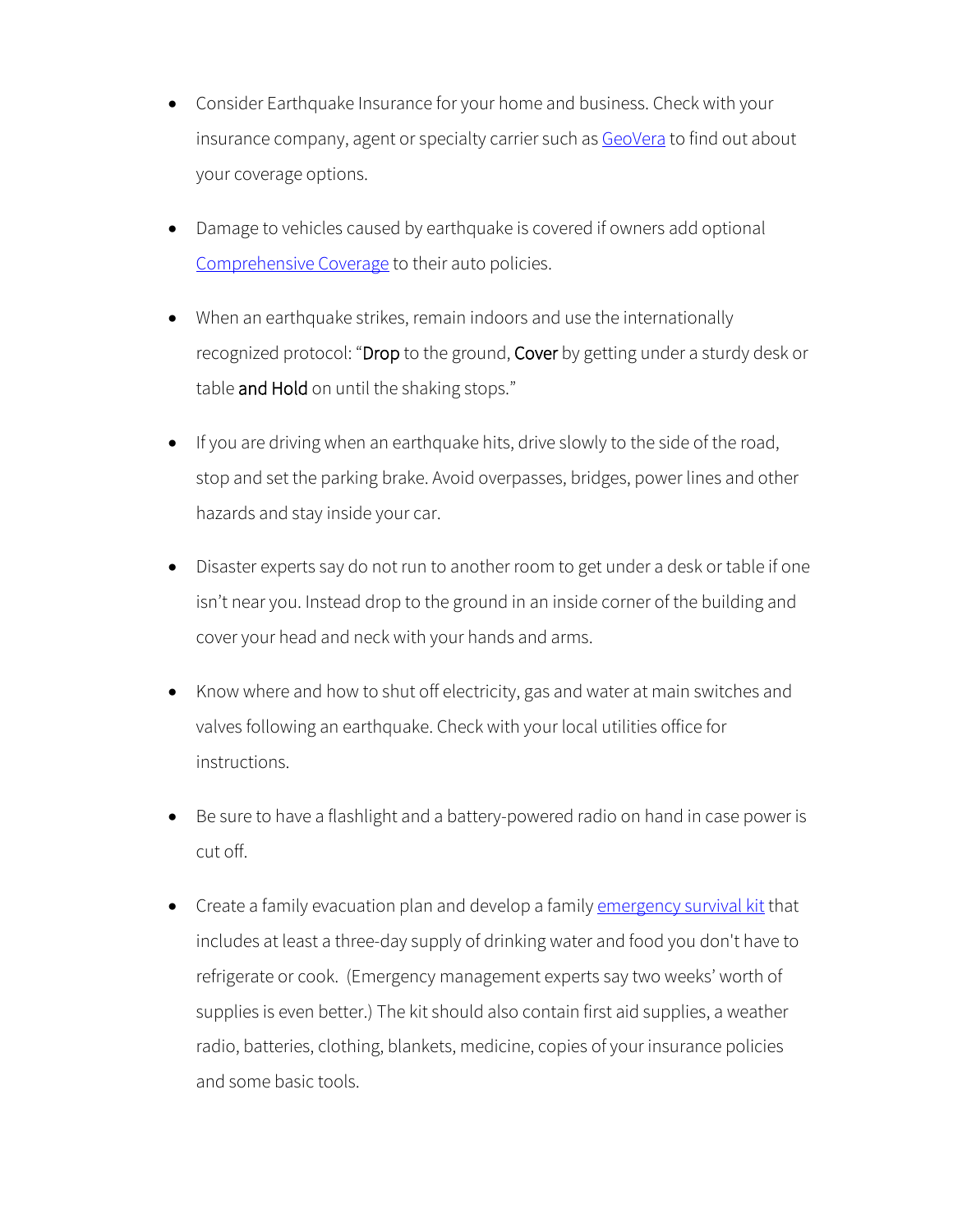- Consider Earthquake Insurance for your home and business. Check with your insurance company, agent or specialty carrier such as [GeoVera](http://www.geovera.com/) to find out about your coverage options.
- Damage to vehicles caused by earthquake is covered if owners add optional [Comprehensive Coverage](http://www.nwinsurance.org/in_autopolicy.htm) to their auto policies.
- When an earthquake strikes, remain indoors and use the internationally recognized protocol: "Drop to the ground, Cover by getting under a sturdy desk or table and Hold on until the shaking stops."
- If you are driving when an earthquake hits, drive slowly to the side of the road, stop and set the parking brake. Avoid overpasses, bridges, power lines and other hazards and stay inside your car.
- Disaster experts say do not run to another room to get under a desk or table if one isn't near you. Instead drop to the ground in an inside corner of the building and cover your head and neck with your hands and arms.
- Know where and how to shut off electricity, gas and water at main switches and valves following an earthquake. Check with your local utilities office for instructions.
- Be sure to have a flashlight and a battery-powered radio on hand in case power is cut off.
- Create a family evacuation plan and develop a family [emergency survival kit](http://www.nwinsurance.org/disaster/tips.php) that includes at least a three-day supply of drinking water and food you don't have to refrigerate or cook. (Emergency management experts say two weeks' worth of supplies is even better.) The kit should also contain first aid supplies, a weather radio, batteries, clothing, blankets, medicine, copies of your insurance policies and some basic tools.